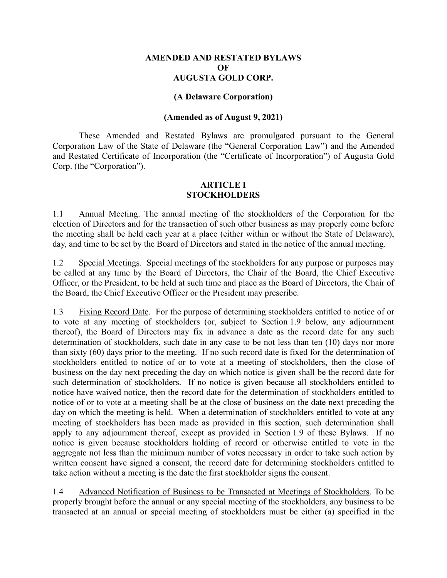## **AMENDED AND RESTATED BYLAWS**   $\Omega$ **F AUGUSTA GOLD CORP.**

### **(A Delaware Corporation)**

## **(Amended as of August 9, 2021)**

These Amended and Restated Bylaws are promulgated pursuant to the General Corporation Law of the State of Delaware (the "General Corporation Law") and the Amended and Restated Certificate of Incorporation (the "Certificate of Incorporation") of Augusta Gold Corp. (the "Corporation").

## **ARTICLE I STOCKHOLDERS**

1.1 Annual Meeting. The annual meeting of the stockholders of the Corporation for the election of Directors and for the transaction of such other business as may properly come before the meeting shall be held each year at a place (either within or without the State of Delaware), day, and time to be set by the Board of Directors and stated in the notice of the annual meeting.

1.2 Special Meetings. Special meetings of the stockholders for any purpose or purposes may be called at any time by the Board of Directors, the Chair of the Board, the Chief Executive Officer, or the President, to be held at such time and place as the Board of Directors, the Chair of the Board, the Chief Executive Officer or the President may prescribe.

1.3 Fixing Record Date. For the purpose of determining stockholders entitled to notice of or to vote at any meeting of stockholders (or, subject to Section 1.9 below, any adjournment thereof), the Board of Directors may fix in advance a date as the record date for any such determination of stockholders, such date in any case to be not less than ten (10) days nor more than sixty (60) days prior to the meeting. If no such record date is fixed for the determination of stockholders entitled to notice of or to vote at a meeting of stockholders, then the close of business on the day next preceding the day on which notice is given shall be the record date for such determination of stockholders. If no notice is given because all stockholders entitled to notice have waived notice, then the record date for the determination of stockholders entitled to notice of or to vote at a meeting shall be at the close of business on the date next preceding the day on which the meeting is held. When a determination of stockholders entitled to vote at any meeting of stockholders has been made as provided in this section, such determination shall apply to any adjournment thereof, except as provided in Section 1.9 of these Bylaws. If no notice is given because stockholders holding of record or otherwise entitled to vote in the aggregate not less than the minimum number of votes necessary in order to take such action by written consent have signed a consent, the record date for determining stockholders entitled to take action without a meeting is the date the first stockholder signs the consent.

1.4 Advanced Notification of Business to be Transacted at Meetings of Stockholders. To be properly brought before the annual or any special meeting of the stockholders, any business to be transacted at an annual or special meeting of stockholders must be either (a) specified in the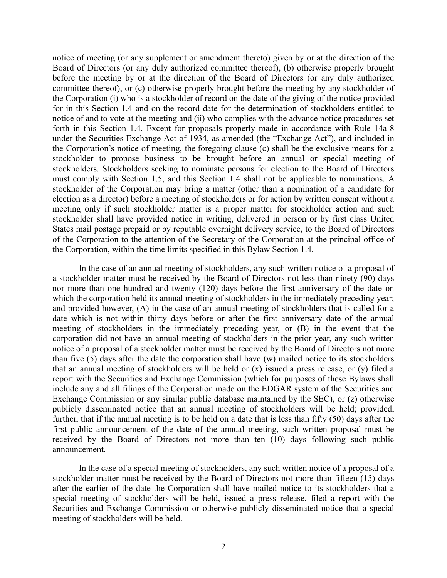notice of meeting (or any supplement or amendment thereto) given by or at the direction of the Board of Directors (or any duly authorized committee thereof), (b) otherwise properly brought before the meeting by or at the direction of the Board of Directors (or any duly authorized committee thereof), or (c) otherwise properly brought before the meeting by any stockholder of the Corporation (i) who is a stockholder of record on the date of the giving of the notice provided for in this Section 1.4 and on the record date for the determination of stockholders entitled to notice of and to vote at the meeting and (ii) who complies with the advance notice procedures set forth in this Section 1.4. Except for proposals properly made in accordance with Rule 14a-8 under the Securities Exchange Act of 1934, as amended (the "Exchange Act"), and included in the Corporation's notice of meeting, the foregoing clause (c) shall be the exclusive means for a stockholder to propose business to be brought before an annual or special meeting of stockholders. Stockholders seeking to nominate persons for election to the Board of Directors must comply with Section 1.5, and this Section 1.4 shall not be applicable to nominations. A stockholder of the Corporation may bring a matter (other than a nomination of a candidate for election as a director) before a meeting of stockholders or for action by written consent without a meeting only if such stockholder matter is a proper matter for stockholder action and such stockholder shall have provided notice in writing, delivered in person or by first class United States mail postage prepaid or by reputable overnight delivery service, to the Board of Directors of the Corporation to the attention of the Secretary of the Corporation at the principal office of the Corporation, within the time limits specified in this Bylaw Section 1.4.

In the case of an annual meeting of stockholders, any such written notice of a proposal of a stockholder matter must be received by the Board of Directors not less than ninety (90) days nor more than one hundred and twenty (120) days before the first anniversary of the date on which the corporation held its annual meeting of stockholders in the immediately preceding year; and provided however, (A) in the case of an annual meeting of stockholders that is called for a date which is not within thirty days before or after the first anniversary date of the annual meeting of stockholders in the immediately preceding year, or (B) in the event that the corporation did not have an annual meeting of stockholders in the prior year, any such written notice of a proposal of a stockholder matter must be received by the Board of Directors not more than five (5) days after the date the corporation shall have (w) mailed notice to its stockholders that an annual meeting of stockholders will be held or (x) issued a press release, or (y) filed a report with the Securities and Exchange Commission (which for purposes of these Bylaws shall include any and all filings of the Corporation made on the EDGAR system of the Securities and Exchange Commission or any similar public database maintained by the SEC), or (z) otherwise publicly disseminated notice that an annual meeting of stockholders will be held; provided, further, that if the annual meeting is to be held on a date that is less than fifty (50) days after the first public announcement of the date of the annual meeting, such written proposal must be received by the Board of Directors not more than ten (10) days following such public announcement.

In the case of a special meeting of stockholders, any such written notice of a proposal of a stockholder matter must be received by the Board of Directors not more than fifteen (15) days after the earlier of the date the Corporation shall have mailed notice to its stockholders that a special meeting of stockholders will be held, issued a press release, filed a report with the Securities and Exchange Commission or otherwise publicly disseminated notice that a special meeting of stockholders will be held.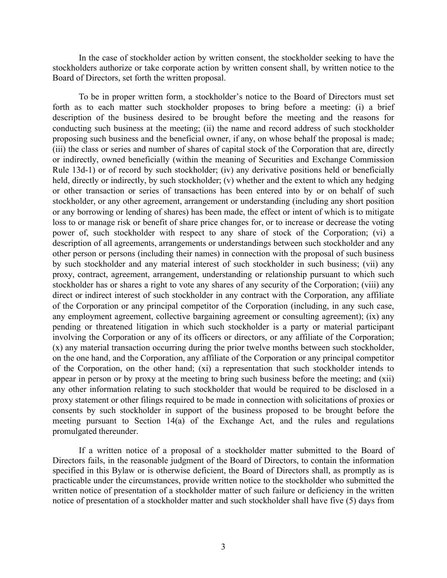In the case of stockholder action by written consent, the stockholder seeking to have the stockholders authorize or take corporate action by written consent shall, by written notice to the Board of Directors, set forth the written proposal.

To be in proper written form, a stockholder's notice to the Board of Directors must set forth as to each matter such stockholder proposes to bring before a meeting: (i) a brief description of the business desired to be brought before the meeting and the reasons for conducting such business at the meeting; (ii) the name and record address of such stockholder proposing such business and the beneficial owner, if any, on whose behalf the proposal is made; (iii) the class or series and number of shares of capital stock of the Corporation that are, directly or indirectly, owned beneficially (within the meaning of Securities and Exchange Commission Rule 13d-1) or of record by such stockholder; (iv) any derivative positions held or beneficially held, directly or indirectly, by such stockholder; (v) whether and the extent to which any hedging or other transaction or series of transactions has been entered into by or on behalf of such stockholder, or any other agreement, arrangement or understanding (including any short position or any borrowing or lending of shares) has been made, the effect or intent of which is to mitigate loss to or manage risk or benefit of share price changes for, or to increase or decrease the voting power of, such stockholder with respect to any share of stock of the Corporation; (vi) a description of all agreements, arrangements or understandings between such stockholder and any other person or persons (including their names) in connection with the proposal of such business by such stockholder and any material interest of such stockholder in such business; (vii) any proxy, contract, agreement, arrangement, understanding or relationship pursuant to which such stockholder has or shares a right to vote any shares of any security of the Corporation; (viii) any direct or indirect interest of such stockholder in any contract with the Corporation, any affiliate of the Corporation or any principal competitor of the Corporation (including, in any such case, any employment agreement, collective bargaining agreement or consulting agreement); (ix) any pending or threatened litigation in which such stockholder is a party or material participant involving the Corporation or any of its officers or directors, or any affiliate of the Corporation; (x) any material transaction occurring during the prior twelve months between such stockholder, on the one hand, and the Corporation, any affiliate of the Corporation or any principal competitor of the Corporation, on the other hand; (xi) a representation that such stockholder intends to appear in person or by proxy at the meeting to bring such business before the meeting; and (xii) any other information relating to such stockholder that would be required to be disclosed in a proxy statement or other filings required to be made in connection with solicitations of proxies or consents by such stockholder in support of the business proposed to be brought before the meeting pursuant to Section 14(a) of the Exchange Act, and the rules and regulations promulgated thereunder.

If a written notice of a proposal of a stockholder matter submitted to the Board of Directors fails, in the reasonable judgment of the Board of Directors, to contain the information specified in this Bylaw or is otherwise deficient, the Board of Directors shall, as promptly as is practicable under the circumstances, provide written notice to the stockholder who submitted the written notice of presentation of a stockholder matter of such failure or deficiency in the written notice of presentation of a stockholder matter and such stockholder shall have five (5) days from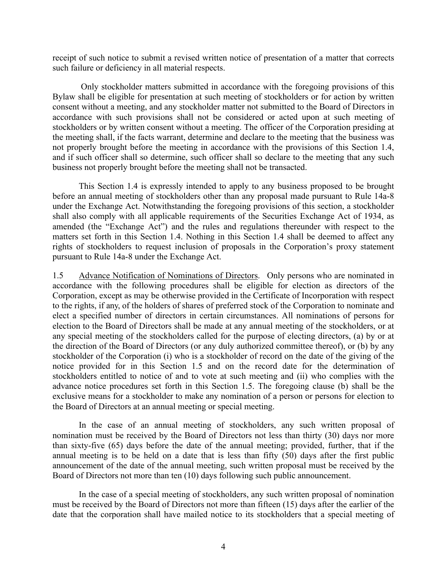receipt of such notice to submit a revised written notice of presentation of a matter that corrects such failure or deficiency in all material respects.

 Only stockholder matters submitted in accordance with the foregoing provisions of this Bylaw shall be eligible for presentation at such meeting of stockholders or for action by written consent without a meeting, and any stockholder matter not submitted to the Board of Directors in accordance with such provisions shall not be considered or acted upon at such meeting of stockholders or by written consent without a meeting. The officer of the Corporation presiding at the meeting shall, if the facts warrant, determine and declare to the meeting that the business was not properly brought before the meeting in accordance with the provisions of this Section 1.4, and if such officer shall so determine, such officer shall so declare to the meeting that any such business not properly brought before the meeting shall not be transacted.

This Section 1.4 is expressly intended to apply to any business proposed to be brought before an annual meeting of stockholders other than any proposal made pursuant to Rule 14a-8 under the Exchange Act. Notwithstanding the foregoing provisions of this section, a stockholder shall also comply with all applicable requirements of the Securities Exchange Act of 1934, as amended (the "Exchange Act") and the rules and regulations thereunder with respect to the matters set forth in this Section 1.4. Nothing in this Section 1.4 shall be deemed to affect any rights of stockholders to request inclusion of proposals in the Corporation's proxy statement pursuant to Rule 14a-8 under the Exchange Act.

1.5 Advance Notification of Nominations of Directors. Only persons who are nominated in accordance with the following procedures shall be eligible for election as directors of the Corporation, except as may be otherwise provided in the Certificate of Incorporation with respect to the rights, if any, of the holders of shares of preferred stock of the Corporation to nominate and elect a specified number of directors in certain circumstances. All nominations of persons for election to the Board of Directors shall be made at any annual meeting of the stockholders, or at any special meeting of the stockholders called for the purpose of electing directors, (a) by or at the direction of the Board of Directors (or any duly authorized committee thereof), or (b) by any stockholder of the Corporation (i) who is a stockholder of record on the date of the giving of the notice provided for in this Section 1.5 and on the record date for the determination of stockholders entitled to notice of and to vote at such meeting and (ii) who complies with the advance notice procedures set forth in this Section 1.5. The foregoing clause (b) shall be the exclusive means for a stockholder to make any nomination of a person or persons for election to the Board of Directors at an annual meeting or special meeting.

In the case of an annual meeting of stockholders, any such written proposal of nomination must be received by the Board of Directors not less than thirty (30) days nor more than sixty-five (65) days before the date of the annual meeting; provided, further, that if the annual meeting is to be held on a date that is less than fifty (50) days after the first public announcement of the date of the annual meeting, such written proposal must be received by the Board of Directors not more than ten (10) days following such public announcement.

In the case of a special meeting of stockholders, any such written proposal of nomination must be received by the Board of Directors not more than fifteen (15) days after the earlier of the date that the corporation shall have mailed notice to its stockholders that a special meeting of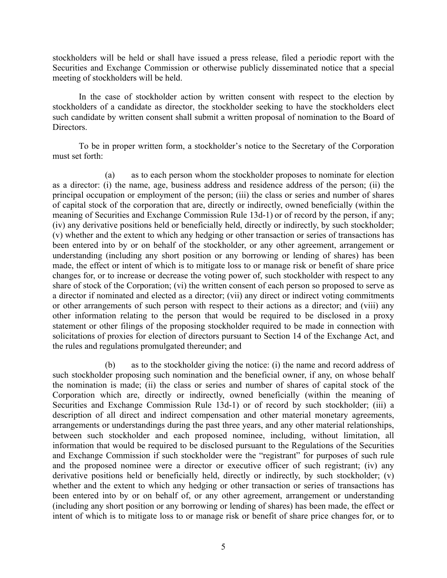stockholders will be held or shall have issued a press release, filed a periodic report with the Securities and Exchange Commission or otherwise publicly disseminated notice that a special meeting of stockholders will be held.

In the case of stockholder action by written consent with respect to the election by stockholders of a candidate as director, the stockholder seeking to have the stockholders elect such candidate by written consent shall submit a written proposal of nomination to the Board of Directors.

To be in proper written form, a stockholder's notice to the Secretary of the Corporation must set forth:

(a) as to each person whom the stockholder proposes to nominate for election as a director: (i) the name, age, business address and residence address of the person; (ii) the principal occupation or employment of the person; (iii) the class or series and number of shares of capital stock of the corporation that are, directly or indirectly, owned beneficially (within the meaning of Securities and Exchange Commission Rule 13d-1) or of record by the person, if any; (iv) any derivative positions held or beneficially held, directly or indirectly, by such stockholder; (v) whether and the extent to which any hedging or other transaction or series of transactions has been entered into by or on behalf of the stockholder, or any other agreement, arrangement or understanding (including any short position or any borrowing or lending of shares) has been made, the effect or intent of which is to mitigate loss to or manage risk or benefit of share price changes for, or to increase or decrease the voting power of, such stockholder with respect to any share of stock of the Corporation; (vi) the written consent of each person so proposed to serve as a director if nominated and elected as a director; (vii) any direct or indirect voting commitments or other arrangements of such person with respect to their actions as a director; and (viii) any other information relating to the person that would be required to be disclosed in a proxy statement or other filings of the proposing stockholder required to be made in connection with solicitations of proxies for election of directors pursuant to Section 14 of the Exchange Act, and the rules and regulations promulgated thereunder; and

(b) as to the stockholder giving the notice: (i) the name and record address of such stockholder proposing such nomination and the beneficial owner, if any, on whose behalf the nomination is made; (ii) the class or series and number of shares of capital stock of the Corporation which are, directly or indirectly, owned beneficially (within the meaning of Securities and Exchange Commission Rule 13d-1) or of record by such stockholder; (iii) a description of all direct and indirect compensation and other material monetary agreements, arrangements or understandings during the past three years, and any other material relationships, between such stockholder and each proposed nominee, including, without limitation, all information that would be required to be disclosed pursuant to the Regulations of the Securities and Exchange Commission if such stockholder were the "registrant" for purposes of such rule and the proposed nominee were a director or executive officer of such registrant; (iv) any derivative positions held or beneficially held, directly or indirectly, by such stockholder; (v) whether and the extent to which any hedging or other transaction or series of transactions has been entered into by or on behalf of, or any other agreement, arrangement or understanding (including any short position or any borrowing or lending of shares) has been made, the effect or intent of which is to mitigate loss to or manage risk or benefit of share price changes for, or to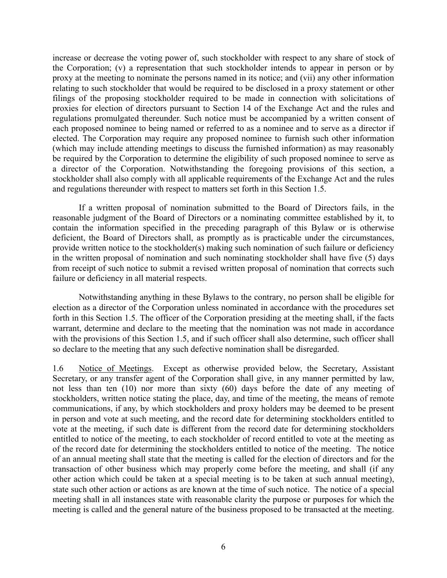increase or decrease the voting power of, such stockholder with respect to any share of stock of the Corporation; (v) a representation that such stockholder intends to appear in person or by proxy at the meeting to nominate the persons named in its notice; and (vii) any other information relating to such stockholder that would be required to be disclosed in a proxy statement or other filings of the proposing stockholder required to be made in connection with solicitations of proxies for election of directors pursuant to Section 14 of the Exchange Act and the rules and regulations promulgated thereunder. Such notice must be accompanied by a written consent of each proposed nominee to being named or referred to as a nominee and to serve as a director if elected. The Corporation may require any proposed nominee to furnish such other information (which may include attending meetings to discuss the furnished information) as may reasonably be required by the Corporation to determine the eligibility of such proposed nominee to serve as a director of the Corporation. Notwithstanding the foregoing provisions of this section, a stockholder shall also comply with all applicable requirements of the Exchange Act and the rules and regulations thereunder with respect to matters set forth in this Section 1.5.

If a written proposal of nomination submitted to the Board of Directors fails, in the reasonable judgment of the Board of Directors or a nominating committee established by it, to contain the information specified in the preceding paragraph of this Bylaw or is otherwise deficient, the Board of Directors shall, as promptly as is practicable under the circumstances, provide written notice to the stockholder(s) making such nomination of such failure or deficiency in the written proposal of nomination and such nominating stockholder shall have five (5) days from receipt of such notice to submit a revised written proposal of nomination that corrects such failure or deficiency in all material respects.

Notwithstanding anything in these Bylaws to the contrary, no person shall be eligible for election as a director of the Corporation unless nominated in accordance with the procedures set forth in this Section 1.5. The officer of the Corporation presiding at the meeting shall, if the facts warrant, determine and declare to the meeting that the nomination was not made in accordance with the provisions of this Section 1.5, and if such officer shall also determine, such officer shall so declare to the meeting that any such defective nomination shall be disregarded.

1.6 Notice of Meetings. Except as otherwise provided below, the Secretary, Assistant Secretary, or any transfer agent of the Corporation shall give, in any manner permitted by law, not less than ten (10) nor more than sixty (60) days before the date of any meeting of stockholders, written notice stating the place, day, and time of the meeting, the means of remote communications, if any, by which stockholders and proxy holders may be deemed to be present in person and vote at such meeting, and the record date for determining stockholders entitled to vote at the meeting, if such date is different from the record date for determining stockholders entitled to notice of the meeting, to each stockholder of record entitled to vote at the meeting as of the record date for determining the stockholders entitled to notice of the meeting. The notice of an annual meeting shall state that the meeting is called for the election of directors and for the transaction of other business which may properly come before the meeting, and shall (if any other action which could be taken at a special meeting is to be taken at such annual meeting), state such other action or actions as are known at the time of such notice. The notice of a special meeting shall in all instances state with reasonable clarity the purpose or purposes for which the meeting is called and the general nature of the business proposed to be transacted at the meeting.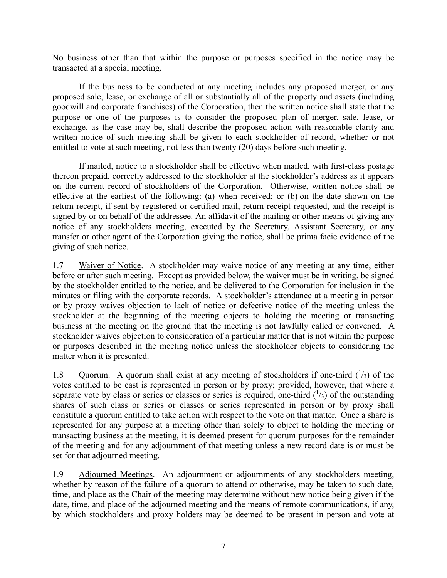No business other than that within the purpose or purposes specified in the notice may be transacted at a special meeting.

If the business to be conducted at any meeting includes any proposed merger, or any proposed sale, lease, or exchange of all or substantially all of the property and assets (including goodwill and corporate franchises) of the Corporation, then the written notice shall state that the purpose or one of the purposes is to consider the proposed plan of merger, sale, lease, or exchange, as the case may be, shall describe the proposed action with reasonable clarity and written notice of such meeting shall be given to each stockholder of record, whether or not entitled to vote at such meeting, not less than twenty (20) days before such meeting.

If mailed, notice to a stockholder shall be effective when mailed, with first-class postage thereon prepaid, correctly addressed to the stockholder at the stockholder's address as it appears on the current record of stockholders of the Corporation. Otherwise, written notice shall be effective at the earliest of the following: (a) when received; or (b) on the date shown on the return receipt, if sent by registered or certified mail, return receipt requested, and the receipt is signed by or on behalf of the addressee. An affidavit of the mailing or other means of giving any notice of any stockholders meeting, executed by the Secretary, Assistant Secretary, or any transfer or other agent of the Corporation giving the notice, shall be prima facie evidence of the giving of such notice.

1.7 Waiver of Notice. A stockholder may waive notice of any meeting at any time, either before or after such meeting. Except as provided below, the waiver must be in writing, be signed by the stockholder entitled to the notice, and be delivered to the Corporation for inclusion in the minutes or filing with the corporate records. A stockholder's attendance at a meeting in person or by proxy waives objection to lack of notice or defective notice of the meeting unless the stockholder at the beginning of the meeting objects to holding the meeting or transacting business at the meeting on the ground that the meeting is not lawfully called or convened. A stockholder waives objection to consideration of a particular matter that is not within the purpose or purposes described in the meeting notice unless the stockholder objects to considering the matter when it is presented.

1.8 Quorum. A quorum shall exist at any meeting of stockholders if one-third  $\binom{1}{3}$  of the votes entitled to be cast is represented in person or by proxy; provided, however, that where a separate vote by class or series or classes or series is required, one-third  $(^{1}/_{3})$  of the outstanding shares of such class or series or classes or series represented in person or by proxy shall constitute a quorum entitled to take action with respect to the vote on that matter. Once a share is represented for any purpose at a meeting other than solely to object to holding the meeting or transacting business at the meeting, it is deemed present for quorum purposes for the remainder of the meeting and for any adjournment of that meeting unless a new record date is or must be set for that adjourned meeting.

1.9 Adjourned Meetings. An adjournment or adjournments of any stockholders meeting, whether by reason of the failure of a quorum to attend or otherwise, may be taken to such date, time, and place as the Chair of the meeting may determine without new notice being given if the date, time, and place of the adjourned meeting and the means of remote communications, if any, by which stockholders and proxy holders may be deemed to be present in person and vote at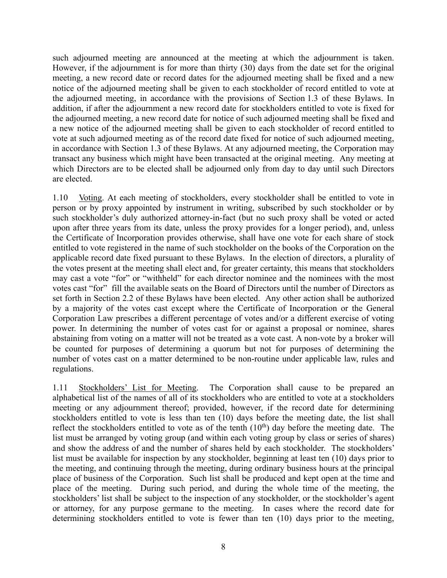such adjourned meeting are announced at the meeting at which the adjournment is taken. However, if the adjournment is for more than thirty (30) days from the date set for the original meeting, a new record date or record dates for the adjourned meeting shall be fixed and a new notice of the adjourned meeting shall be given to each stockholder of record entitled to vote at the adjourned meeting, in accordance with the provisions of Section 1.3 of these Bylaws. In addition, if after the adjournment a new record date for stockholders entitled to vote is fixed for the adjourned meeting, a new record date for notice of such adjourned meeting shall be fixed and a new notice of the adjourned meeting shall be given to each stockholder of record entitled to vote at such adjourned meeting as of the record date fixed for notice of such adjourned meeting, in accordance with Section 1.3 of these Bylaws. At any adjourned meeting, the Corporation may transact any business which might have been transacted at the original meeting. Any meeting at which Directors are to be elected shall be adjourned only from day to day until such Directors are elected.

1.10 Voting. At each meeting of stockholders, every stockholder shall be entitled to vote in person or by proxy appointed by instrument in writing, subscribed by such stockholder or by such stockholder's duly authorized attorney-in-fact (but no such proxy shall be voted or acted upon after three years from its date, unless the proxy provides for a longer period), and, unless the Certificate of Incorporation provides otherwise, shall have one vote for each share of stock entitled to vote registered in the name of such stockholder on the books of the Corporation on the applicable record date fixed pursuant to these Bylaws. In the election of directors, a plurality of the votes present at the meeting shall elect and, for greater certainty, this means that stockholders may cast a vote "for" or "withheld" for each director nominee and the nominees with the most votes cast "for" fill the available seats on the Board of Directors until the number of Directors as set forth in Section 2.2 of these Bylaws have been elected. Any other action shall be authorized by a majority of the votes cast except where the Certificate of Incorporation or the General Corporation Law prescribes a different percentage of votes and/or a different exercise of voting power. In determining the number of votes cast for or against a proposal or nominee, shares abstaining from voting on a matter will not be treated as a vote cast. A non-vote by a broker will be counted for purposes of determining a quorum but not for purposes of determining the number of votes cast on a matter determined to be non-routine under applicable law, rules and regulations.

1.11 Stockholders' List for Meeting. The Corporation shall cause to be prepared an alphabetical list of the names of all of its stockholders who are entitled to vote at a stockholders meeting or any adjournment thereof; provided, however, if the record date for determining stockholders entitled to vote is less than ten (10) days before the meeting date, the list shall reflect the stockholders entitled to vote as of the tenth  $(10<sup>th</sup>)$  day before the meeting date. The list must be arranged by voting group (and within each voting group by class or series of shares) and show the address of and the number of shares held by each stockholder. The stockholders' list must be available for inspection by any stockholder, beginning at least ten (10) days prior to the meeting, and continuing through the meeting, during ordinary business hours at the principal place of business of the Corporation. Such list shall be produced and kept open at the time and place of the meeting. During such period, and during the whole time of the meeting, the stockholders' list shall be subject to the inspection of any stockholder, or the stockholder's agent or attorney, for any purpose germane to the meeting. In cases where the record date for determining stockholders entitled to vote is fewer than ten (10) days prior to the meeting,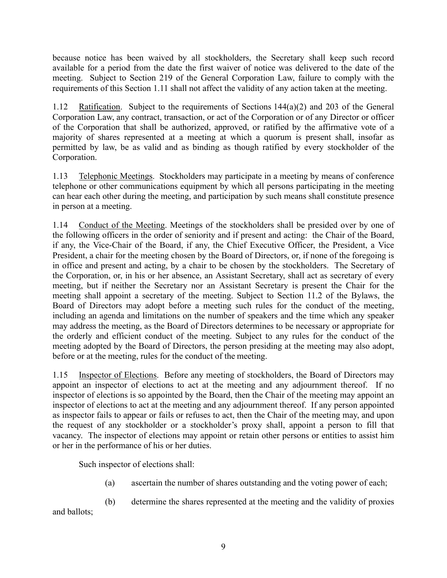because notice has been waived by all stockholders, the Secretary shall keep such record available for a period from the date the first waiver of notice was delivered to the date of the meeting. Subject to Section 219 of the General Corporation Law, failure to comply with the requirements of this Section 1.11 shall not affect the validity of any action taken at the meeting.

1.12 Ratification. Subject to the requirements of Sections 144(a)(2) and 203 of the General Corporation Law, any contract, transaction, or act of the Corporation or of any Director or officer of the Corporation that shall be authorized, approved, or ratified by the affirmative vote of a majority of shares represented at a meeting at which a quorum is present shall, insofar as permitted by law, be as valid and as binding as though ratified by every stockholder of the Corporation.

1.13 Telephonic Meetings. Stockholders may participate in a meeting by means of conference telephone or other communications equipment by which all persons participating in the meeting can hear each other during the meeting, and participation by such means shall constitute presence in person at a meeting.

1.14 Conduct of the Meeting. Meetings of the stockholders shall be presided over by one of the following officers in the order of seniority and if present and acting: the Chair of the Board, if any, the Vice-Chair of the Board, if any, the Chief Executive Officer, the President, a Vice President, a chair for the meeting chosen by the Board of Directors, or, if none of the foregoing is in office and present and acting, by a chair to be chosen by the stockholders. The Secretary of the Corporation, or, in his or her absence, an Assistant Secretary, shall act as secretary of every meeting, but if neither the Secretary nor an Assistant Secretary is present the Chair for the meeting shall appoint a secretary of the meeting. Subject to Section 11.2 of the Bylaws, the Board of Directors may adopt before a meeting such rules for the conduct of the meeting, including an agenda and limitations on the number of speakers and the time which any speaker may address the meeting, as the Board of Directors determines to be necessary or appropriate for the orderly and efficient conduct of the meeting. Subject to any rules for the conduct of the meeting adopted by the Board of Directors, the person presiding at the meeting may also adopt, before or at the meeting, rules for the conduct of the meeting.

1.15 Inspector of Elections. Before any meeting of stockholders, the Board of Directors may appoint an inspector of elections to act at the meeting and any adjournment thereof. If no inspector of elections is so appointed by the Board, then the Chair of the meeting may appoint an inspector of elections to act at the meeting and any adjournment thereof. If any person appointed as inspector fails to appear or fails or refuses to act, then the Chair of the meeting may, and upon the request of any stockholder or a stockholder's proxy shall, appoint a person to fill that vacancy. The inspector of elections may appoint or retain other persons or entities to assist him or her in the performance of his or her duties.

Such inspector of elections shall:

- (a) ascertain the number of shares outstanding and the voting power of each;
- (b) determine the shares represented at the meeting and the validity of proxies

and ballots;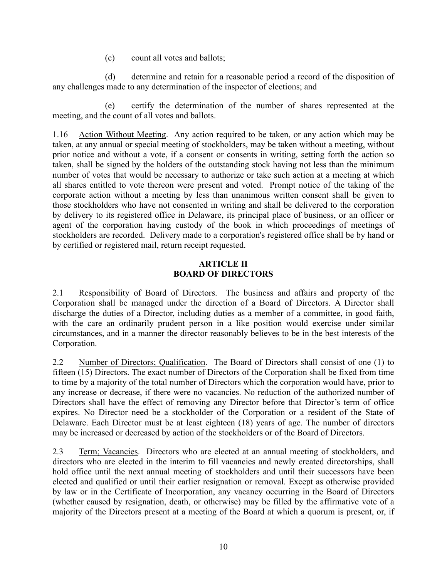(c) count all votes and ballots;

(d) determine and retain for a reasonable period a record of the disposition of any challenges made to any determination of the inspector of elections; and

(e) certify the determination of the number of shares represented at the meeting, and the count of all votes and ballots.

1.16 Action Without Meeting. Any action required to be taken, or any action which may be taken, at any annual or special meeting of stockholders, may be taken without a meeting, without prior notice and without a vote, if a consent or consents in writing, setting forth the action so taken, shall be signed by the holders of the outstanding stock having not less than the minimum number of votes that would be necessary to authorize or take such action at a meeting at which all shares entitled to vote thereon were present and voted. Prompt notice of the taking of the corporate action without a meeting by less than unanimous written consent shall be given to those stockholders who have not consented in writing and shall be delivered to the corporation by delivery to its registered office in Delaware, its principal place of business, or an officer or agent of the corporation having custody of the book in which proceedings of meetings of stockholders are recorded. Delivery made to a corporation's registered office shall be by hand or by certified or registered mail, return receipt requested.

# **ARTICLE II BOARD OF DIRECTORS**

2.1 Responsibility of Board of Directors. The business and affairs and property of the Corporation shall be managed under the direction of a Board of Directors. A Director shall discharge the duties of a Director, including duties as a member of a committee, in good faith, with the care an ordinarily prudent person in a like position would exercise under similar circumstances, and in a manner the director reasonably believes to be in the best interests of the Corporation.

2.2 Number of Directors; Qualification. The Board of Directors shall consist of one (1) to fifteen (15) Directors. The exact number of Directors of the Corporation shall be fixed from time to time by a majority of the total number of Directors which the corporation would have, prior to any increase or decrease, if there were no vacancies. No reduction of the authorized number of Directors shall have the effect of removing any Director before that Director's term of office expires. No Director need be a stockholder of the Corporation or a resident of the State of Delaware. Each Director must be at least eighteen (18) years of age. The number of directors may be increased or decreased by action of the stockholders or of the Board of Directors.

2.3 Term; Vacancies. Directors who are elected at an annual meeting of stockholders, and directors who are elected in the interim to fill vacancies and newly created directorships, shall hold office until the next annual meeting of stockholders and until their successors have been elected and qualified or until their earlier resignation or removal. Except as otherwise provided by law or in the Certificate of Incorporation, any vacancy occurring in the Board of Directors (whether caused by resignation, death, or otherwise) may be filled by the affirmative vote of a majority of the Directors present at a meeting of the Board at which a quorum is present, or, if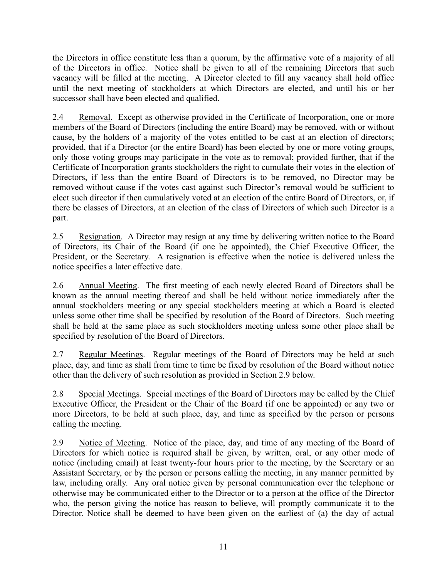the Directors in office constitute less than a quorum, by the affirmative vote of a majority of all of the Directors in office. Notice shall be given to all of the remaining Directors that such vacancy will be filled at the meeting. A Director elected to fill any vacancy shall hold office until the next meeting of stockholders at which Directors are elected, and until his or her successor shall have been elected and qualified.

2.4 Removal. Except as otherwise provided in the Certificate of Incorporation, one or more members of the Board of Directors (including the entire Board) may be removed, with or without cause, by the holders of a majority of the votes entitled to be cast at an election of directors; provided, that if a Director (or the entire Board) has been elected by one or more voting groups, only those voting groups may participate in the vote as to removal; provided further, that if the Certificate of Incorporation grants stockholders the right to cumulate their votes in the election of Directors, if less than the entire Board of Directors is to be removed, no Director may be removed without cause if the votes cast against such Director's removal would be sufficient to elect such director if then cumulatively voted at an election of the entire Board of Directors, or, if there be classes of Directors, at an election of the class of Directors of which such Director is a part.

2.5 Resignation. A Director may resign at any time by delivering written notice to the Board of Directors, its Chair of the Board (if one be appointed), the Chief Executive Officer, the President, or the Secretary. A resignation is effective when the notice is delivered unless the notice specifies a later effective date.

2.6 Annual Meeting. The first meeting of each newly elected Board of Directors shall be known as the annual meeting thereof and shall be held without notice immediately after the annual stockholders meeting or any special stockholders meeting at which a Board is elected unless some other time shall be specified by resolution of the Board of Directors. Such meeting shall be held at the same place as such stockholders meeting unless some other place shall be specified by resolution of the Board of Directors.

2.7 Regular Meetings. Regular meetings of the Board of Directors may be held at such place, day, and time as shall from time to time be fixed by resolution of the Board without notice other than the delivery of such resolution as provided in Section 2.9 below.

2.8 Special Meetings. Special meetings of the Board of Directors may be called by the Chief Executive Officer, the President or the Chair of the Board (if one be appointed) or any two or more Directors, to be held at such place, day, and time as specified by the person or persons calling the meeting.

2.9 Notice of Meeting. Notice of the place, day, and time of any meeting of the Board of Directors for which notice is required shall be given, by written, oral, or any other mode of notice (including email) at least twenty-four hours prior to the meeting, by the Secretary or an Assistant Secretary, or by the person or persons calling the meeting, in any manner permitted by law, including orally. Any oral notice given by personal communication over the telephone or otherwise may be communicated either to the Director or to a person at the office of the Director who, the person giving the notice has reason to believe, will promptly communicate it to the Director. Notice shall be deemed to have been given on the earliest of (a) the day of actual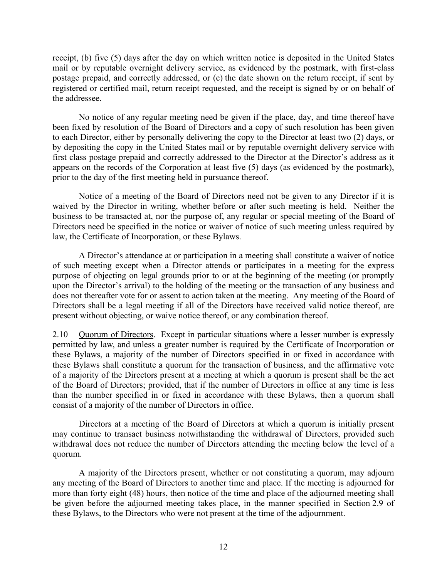receipt, (b) five (5) days after the day on which written notice is deposited in the United States mail or by reputable overnight delivery service, as evidenced by the postmark, with first-class postage prepaid, and correctly addressed, or (c) the date shown on the return receipt, if sent by registered or certified mail, return receipt requested, and the receipt is signed by or on behalf of the addressee.

No notice of any regular meeting need be given if the place, day, and time thereof have been fixed by resolution of the Board of Directors and a copy of such resolution has been given to each Director, either by personally delivering the copy to the Director at least two (2) days, or by depositing the copy in the United States mail or by reputable overnight delivery service with first class postage prepaid and correctly addressed to the Director at the Director's address as it appears on the records of the Corporation at least five (5) days (as evidenced by the postmark), prior to the day of the first meeting held in pursuance thereof.

Notice of a meeting of the Board of Directors need not be given to any Director if it is waived by the Director in writing, whether before or after such meeting is held. Neither the business to be transacted at, nor the purpose of, any regular or special meeting of the Board of Directors need be specified in the notice or waiver of notice of such meeting unless required by law, the Certificate of Incorporation, or these Bylaws.

A Director's attendance at or participation in a meeting shall constitute a waiver of notice of such meeting except when a Director attends or participates in a meeting for the express purpose of objecting on legal grounds prior to or at the beginning of the meeting (or promptly upon the Director's arrival) to the holding of the meeting or the transaction of any business and does not thereafter vote for or assent to action taken at the meeting. Any meeting of the Board of Directors shall be a legal meeting if all of the Directors have received valid notice thereof, are present without objecting, or waive notice thereof, or any combination thereof.

2.10 Quorum of Directors. Except in particular situations where a lesser number is expressly permitted by law, and unless a greater number is required by the Certificate of Incorporation or these Bylaws, a majority of the number of Directors specified in or fixed in accordance with these Bylaws shall constitute a quorum for the transaction of business, and the affirmative vote of a majority of the Directors present at a meeting at which a quorum is present shall be the act of the Board of Directors; provided, that if the number of Directors in office at any time is less than the number specified in or fixed in accordance with these Bylaws, then a quorum shall consist of a majority of the number of Directors in office.

Directors at a meeting of the Board of Directors at which a quorum is initially present may continue to transact business notwithstanding the withdrawal of Directors, provided such withdrawal does not reduce the number of Directors attending the meeting below the level of a quorum.

A majority of the Directors present, whether or not constituting a quorum, may adjourn any meeting of the Board of Directors to another time and place. If the meeting is adjourned for more than forty eight (48) hours, then notice of the time and place of the adjourned meeting shall be given before the adjourned meeting takes place, in the manner specified in Section 2.9 of these Bylaws, to the Directors who were not present at the time of the adjournment.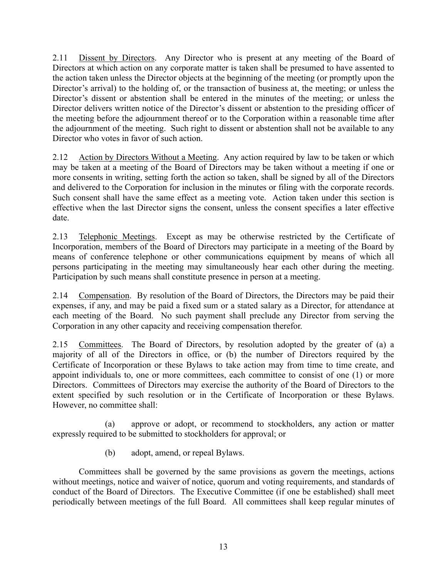2.11 Dissent by Directors. Any Director who is present at any meeting of the Board of Directors at which action on any corporate matter is taken shall be presumed to have assented to the action taken unless the Director objects at the beginning of the meeting (or promptly upon the Director's arrival) to the holding of, or the transaction of business at, the meeting; or unless the Director's dissent or abstention shall be entered in the minutes of the meeting; or unless the Director delivers written notice of the Director's dissent or abstention to the presiding officer of the meeting before the adjournment thereof or to the Corporation within a reasonable time after the adjournment of the meeting. Such right to dissent or abstention shall not be available to any Director who votes in favor of such action.

2.12 Action by Directors Without a Meeting. Any action required by law to be taken or which may be taken at a meeting of the Board of Directors may be taken without a meeting if one or more consents in writing, setting forth the action so taken, shall be signed by all of the Directors and delivered to the Corporation for inclusion in the minutes or filing with the corporate records. Such consent shall have the same effect as a meeting vote. Action taken under this section is effective when the last Director signs the consent, unless the consent specifies a later effective date.

2.13 Telephonic Meetings. Except as may be otherwise restricted by the Certificate of Incorporation, members of the Board of Directors may participate in a meeting of the Board by means of conference telephone or other communications equipment by means of which all persons participating in the meeting may simultaneously hear each other during the meeting. Participation by such means shall constitute presence in person at a meeting.

2.14 Compensation. By resolution of the Board of Directors, the Directors may be paid their expenses, if any, and may be paid a fixed sum or a stated salary as a Director, for attendance at each meeting of the Board. No such payment shall preclude any Director from serving the Corporation in any other capacity and receiving compensation therefor.

2.15 Committees. The Board of Directors, by resolution adopted by the greater of (a) a majority of all of the Directors in office, or (b) the number of Directors required by the Certificate of Incorporation or these Bylaws to take action may from time to time create, and appoint individuals to, one or more committees, each committee to consist of one (1) or more Directors. Committees of Directors may exercise the authority of the Board of Directors to the extent specified by such resolution or in the Certificate of Incorporation or these Bylaws. However, no committee shall:

(a) approve or adopt, or recommend to stockholders, any action or matter expressly required to be submitted to stockholders for approval; or

(b) adopt, amend, or repeal Bylaws.

Committees shall be governed by the same provisions as govern the meetings, actions without meetings, notice and waiver of notice, quorum and voting requirements, and standards of conduct of the Board of Directors. The Executive Committee (if one be established) shall meet periodically between meetings of the full Board. All committees shall keep regular minutes of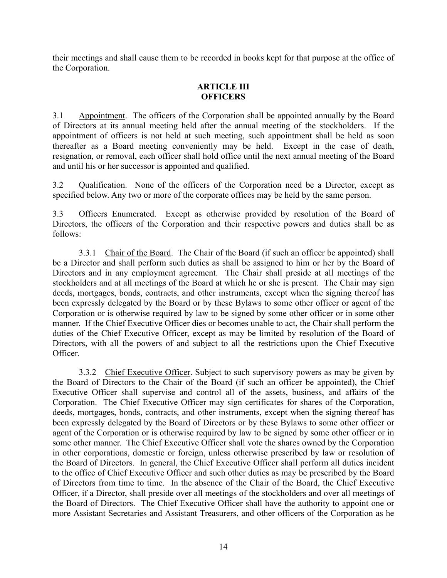their meetings and shall cause them to be recorded in books kept for that purpose at the office of the Corporation.

# **ARTICLE III OFFICERS**

3.1 Appointment. The officers of the Corporation shall be appointed annually by the Board of Directors at its annual meeting held after the annual meeting of the stockholders. If the appointment of officers is not held at such meeting, such appointment shall be held as soon thereafter as a Board meeting conveniently may be held. Except in the case of death, resignation, or removal, each officer shall hold office until the next annual meeting of the Board and until his or her successor is appointed and qualified.

3.2 Qualification. None of the officers of the Corporation need be a Director, except as specified below. Any two or more of the corporate offices may be held by the same person.

3.3 Officers Enumerated. Except as otherwise provided by resolution of the Board of Directors, the officers of the Corporation and their respective powers and duties shall be as follows:

3.3.1 Chair of the Board. The Chair of the Board (if such an officer be appointed) shall be a Director and shall perform such duties as shall be assigned to him or her by the Board of Directors and in any employment agreement. The Chair shall preside at all meetings of the stockholders and at all meetings of the Board at which he or she is present. The Chair may sign deeds, mortgages, bonds, contracts, and other instruments, except when the signing thereof has been expressly delegated by the Board or by these Bylaws to some other officer or agent of the Corporation or is otherwise required by law to be signed by some other officer or in some other manner. If the Chief Executive Officer dies or becomes unable to act, the Chair shall perform the duties of the Chief Executive Officer, except as may be limited by resolution of the Board of Directors, with all the powers of and subject to all the restrictions upon the Chief Executive Officer.

3.3.2 Chief Executive Officer. Subject to such supervisory powers as may be given by the Board of Directors to the Chair of the Board (if such an officer be appointed), the Chief Executive Officer shall supervise and control all of the assets, business, and affairs of the Corporation. The Chief Executive Officer may sign certificates for shares of the Corporation, deeds, mortgages, bonds, contracts, and other instruments, except when the signing thereof has been expressly delegated by the Board of Directors or by these Bylaws to some other officer or agent of the Corporation or is otherwise required by law to be signed by some other officer or in some other manner. The Chief Executive Officer shall vote the shares owned by the Corporation in other corporations, domestic or foreign, unless otherwise prescribed by law or resolution of the Board of Directors. In general, the Chief Executive Officer shall perform all duties incident to the office of Chief Executive Officer and such other duties as may be prescribed by the Board of Directors from time to time. In the absence of the Chair of the Board, the Chief Executive Officer, if a Director, shall preside over all meetings of the stockholders and over all meetings of the Board of Directors. The Chief Executive Officer shall have the authority to appoint one or more Assistant Secretaries and Assistant Treasurers, and other officers of the Corporation as he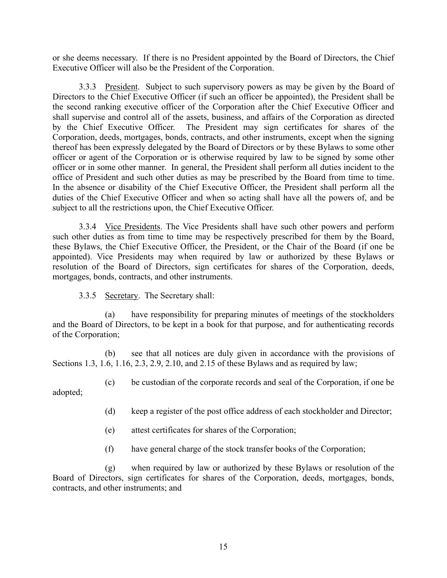or she deems necessary. If there is no President appointed by the Board of Directors, the Chief Executive Officer will also be the President of the Corporation.

3.3.3 President. Subject to such supervisory powers as may be given by the Board of Directors to the Chief Executive Officer (if such an officer be appointed), the President shall be the second ranking executive officer of the Corporation after the Chief Executive Officer and shall supervise and control all of the assets, business, and affairs of the Corporation as directed by the Chief Executive Officer. The President may sign certificates for shares of the Corporation, deeds, mortgages, bonds, contracts, and other instruments, except when the signing thereof has been expressly delegated by the Board of Directors or by these Bylaws to some other officer or agent of the Corporation or is otherwise required by law to be signed by some other officer or in some other manner. In general, the President shall perform all duties incident to the office of President and such other duties as may be prescribed by the Board from time to time. In the absence or disability of the Chief Executive Officer, the President shall perform all the duties of the Chief Executive Officer and when so acting shall have all the powers of, and be subject to all the restrictions upon, the Chief Executive Officer.

3.3.4 Vice Presidents. The Vice Presidents shall have such other powers and perform such other duties as from time to time may be respectively prescribed for them by the Board, these Bylaws, the Chief Executive Officer, the President, or the Chair of the Board (if one be appointed). Vice Presidents may when required by law or authorized by these Bylaws or resolution of the Board of Directors, sign certificates for shares of the Corporation, deeds, mortgages, bonds, contracts, and other instruments.

3.3.5 Secretary. The Secretary shall:

(a) have responsibility for preparing minutes of meetings of the stockholders and the Board of Directors, to be kept in a book for that purpose, and for authenticating records of the Corporation;

(b) see that all notices are duly given in accordance with the provisions of Sections 1.3, 1.6, 1.16, 2.3, 2.9, 2.10, and 2.15 of these Bylaws and as required by law;

(c) be custodian of the corporate records and seal of the Corporation, if one be

adopted;

- (d) keep a register of the post office address of each stockholder and Director;
- (e) attest certificates for shares of the Corporation;
- (f) have general charge of the stock transfer books of the Corporation;

(g) when required by law or authorized by these Bylaws or resolution of the Board of Directors, sign certificates for shares of the Corporation, deeds, mortgages, bonds, contracts, and other instruments; and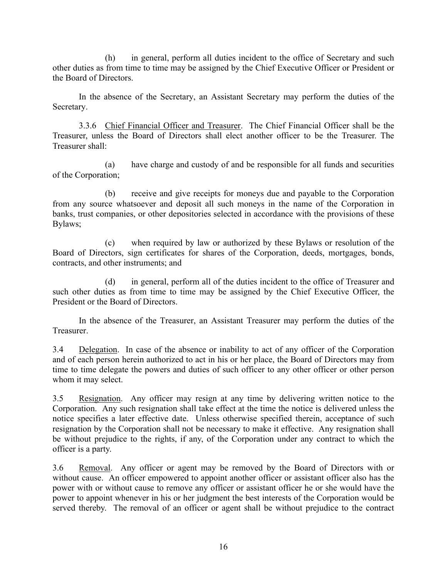(h) in general, perform all duties incident to the office of Secretary and such other duties as from time to time may be assigned by the Chief Executive Officer or President or the Board of Directors.

In the absence of the Secretary, an Assistant Secretary may perform the duties of the Secretary.

3.3.6 Chief Financial Officer and Treasurer. The Chief Financial Officer shall be the Treasurer, unless the Board of Directors shall elect another officer to be the Treasurer. The Treasurer shall:

(a) have charge and custody of and be responsible for all funds and securities of the Corporation;

(b) receive and give receipts for moneys due and payable to the Corporation from any source whatsoever and deposit all such moneys in the name of the Corporation in banks, trust companies, or other depositories selected in accordance with the provisions of these Bylaws;

(c) when required by law or authorized by these Bylaws or resolution of the Board of Directors, sign certificates for shares of the Corporation, deeds, mortgages, bonds, contracts, and other instruments; and

(d) in general, perform all of the duties incident to the office of Treasurer and such other duties as from time to time may be assigned by the Chief Executive Officer, the President or the Board of Directors.

In the absence of the Treasurer, an Assistant Treasurer may perform the duties of the Treasurer.

3.4 Delegation. In case of the absence or inability to act of any officer of the Corporation and of each person herein authorized to act in his or her place, the Board of Directors may from time to time delegate the powers and duties of such officer to any other officer or other person whom it may select.

3.5 Resignation. Any officer may resign at any time by delivering written notice to the Corporation. Any such resignation shall take effect at the time the notice is delivered unless the notice specifies a later effective date. Unless otherwise specified therein, acceptance of such resignation by the Corporation shall not be necessary to make it effective. Any resignation shall be without prejudice to the rights, if any, of the Corporation under any contract to which the officer is a party.

3.6 Removal. Any officer or agent may be removed by the Board of Directors with or without cause. An officer empowered to appoint another officer or assistant officer also has the power with or without cause to remove any officer or assistant officer he or she would have the power to appoint whenever in his or her judgment the best interests of the Corporation would be served thereby. The removal of an officer or agent shall be without prejudice to the contract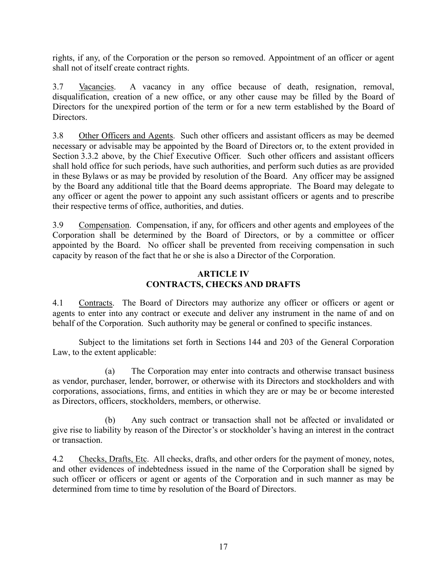rights, if any, of the Corporation or the person so removed. Appointment of an officer or agent shall not of itself create contract rights.

3.7 Vacancies. A vacancy in any office because of death, resignation, removal, disqualification, creation of a new office, or any other cause may be filled by the Board of Directors for the unexpired portion of the term or for a new term established by the Board of Directors.

3.8 Other Officers and Agents. Such other officers and assistant officers as may be deemed necessary or advisable may be appointed by the Board of Directors or, to the extent provided in Section 3.3.2 above, by the Chief Executive Officer. Such other officers and assistant officers shall hold office for such periods, have such authorities, and perform such duties as are provided in these Bylaws or as may be provided by resolution of the Board. Any officer may be assigned by the Board any additional title that the Board deems appropriate. The Board may delegate to any officer or agent the power to appoint any such assistant officers or agents and to prescribe their respective terms of office, authorities, and duties.

3.9 Compensation. Compensation, if any, for officers and other agents and employees of the Corporation shall be determined by the Board of Directors, or by a committee or officer appointed by the Board. No officer shall be prevented from receiving compensation in such capacity by reason of the fact that he or she is also a Director of the Corporation.

# **ARTICLE IV CONTRACTS, CHECKS AND DRAFTS**

4.1 Contracts. The Board of Directors may authorize any officer or officers or agent or agents to enter into any contract or execute and deliver any instrument in the name of and on behalf of the Corporation. Such authority may be general or confined to specific instances.

Subject to the limitations set forth in Sections 144 and 203 of the General Corporation Law, to the extent applicable:

(a) The Corporation may enter into contracts and otherwise transact business as vendor, purchaser, lender, borrower, or otherwise with its Directors and stockholders and with corporations, associations, firms, and entities in which they are or may be or become interested as Directors, officers, stockholders, members, or otherwise.

(b) Any such contract or transaction shall not be affected or invalidated or give rise to liability by reason of the Director's or stockholder's having an interest in the contract or transaction.

4.2 Checks, Drafts, Etc. All checks, drafts, and other orders for the payment of money, notes, and other evidences of indebtedness issued in the name of the Corporation shall be signed by such officer or officers or agent or agents of the Corporation and in such manner as may be determined from time to time by resolution of the Board of Directors.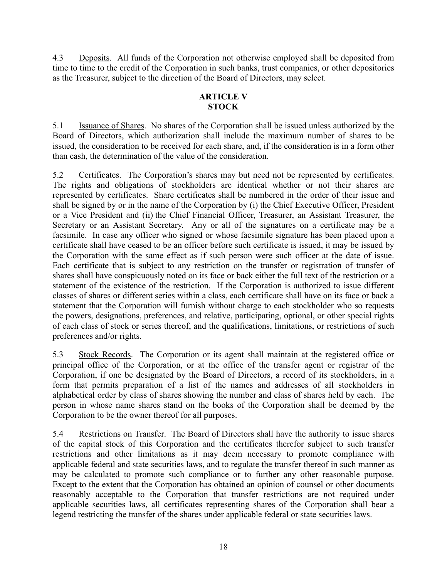4.3 Deposits. All funds of the Corporation not otherwise employed shall be deposited from time to time to the credit of the Corporation in such banks, trust companies, or other depositories as the Treasurer, subject to the direction of the Board of Directors, may select.

# **ARTICLE V STOCK**

5.1 Issuance of Shares. No shares of the Corporation shall be issued unless authorized by the Board of Directors, which authorization shall include the maximum number of shares to be issued, the consideration to be received for each share, and, if the consideration is in a form other than cash, the determination of the value of the consideration.

5.2 Certificates. The Corporation's shares may but need not be represented by certificates. The rights and obligations of stockholders are identical whether or not their shares are represented by certificates. Share certificates shall be numbered in the order of their issue and shall be signed by or in the name of the Corporation by (i) the Chief Executive Officer, President or a Vice President and (ii) the Chief Financial Officer, Treasurer, an Assistant Treasurer, the Secretary or an Assistant Secretary. Any or all of the signatures on a certificate may be a facsimile. In case any officer who signed or whose facsimile signature has been placed upon a certificate shall have ceased to be an officer before such certificate is issued, it may be issued by the Corporation with the same effect as if such person were such officer at the date of issue. Each certificate that is subject to any restriction on the transfer or registration of transfer of shares shall have conspicuously noted on its face or back either the full text of the restriction or a statement of the existence of the restriction. If the Corporation is authorized to issue different classes of shares or different series within a class, each certificate shall have on its face or back a statement that the Corporation will furnish without charge to each stockholder who so requests the powers, designations, preferences, and relative, participating, optional, or other special rights of each class of stock or series thereof, and the qualifications, limitations, or restrictions of such preferences and/or rights.

5.3 Stock Records. The Corporation or its agent shall maintain at the registered office or principal office of the Corporation, or at the office of the transfer agent or registrar of the Corporation, if one be designated by the Board of Directors, a record of its stockholders, in a form that permits preparation of a list of the names and addresses of all stockholders in alphabetical order by class of shares showing the number and class of shares held by each. The person in whose name shares stand on the books of the Corporation shall be deemed by the Corporation to be the owner thereof for all purposes.

5.4 Restrictions on Transfer. The Board of Directors shall have the authority to issue shares of the capital stock of this Corporation and the certificates therefor subject to such transfer restrictions and other limitations as it may deem necessary to promote compliance with applicable federal and state securities laws, and to regulate the transfer thereof in such manner as may be calculated to promote such compliance or to further any other reasonable purpose. Except to the extent that the Corporation has obtained an opinion of counsel or other documents reasonably acceptable to the Corporation that transfer restrictions are not required under applicable securities laws, all certificates representing shares of the Corporation shall bear a legend restricting the transfer of the shares under applicable federal or state securities laws.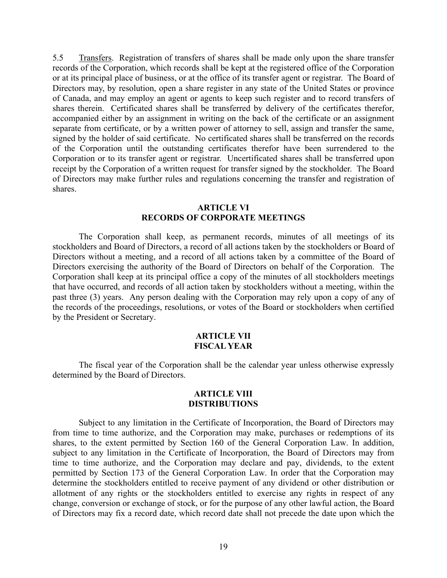5.5 Transfers. Registration of transfers of shares shall be made only upon the share transfer records of the Corporation, which records shall be kept at the registered office of the Corporation or at its principal place of business, or at the office of its transfer agent or registrar. The Board of Directors may, by resolution, open a share register in any state of the United States or province of Canada, and may employ an agent or agents to keep such register and to record transfers of shares therein. Certificated shares shall be transferred by delivery of the certificates therefor, accompanied either by an assignment in writing on the back of the certificate or an assignment separate from certificate, or by a written power of attorney to sell, assign and transfer the same, signed by the holder of said certificate. No certificated shares shall be transferred on the records of the Corporation until the outstanding certificates therefor have been surrendered to the Corporation or to its transfer agent or registrar. Uncertificated shares shall be transferred upon receipt by the Corporation of a written request for transfer signed by the stockholder. The Board of Directors may make further rules and regulations concerning the transfer and registration of shares.

#### **ARTICLE VI RECORDS OF CORPORATE MEETINGS**

The Corporation shall keep, as permanent records, minutes of all meetings of its stockholders and Board of Directors, a record of all actions taken by the stockholders or Board of Directors without a meeting, and a record of all actions taken by a committee of the Board of Directors exercising the authority of the Board of Directors on behalf of the Corporation. The Corporation shall keep at its principal office a copy of the minutes of all stockholders meetings that have occurred, and records of all action taken by stockholders without a meeting, within the past three (3) years. Any person dealing with the Corporation may rely upon a copy of any of the records of the proceedings, resolutions, or votes of the Board or stockholders when certified by the President or Secretary.

#### **ARTICLE VII FISCAL YEAR**

The fiscal year of the Corporation shall be the calendar year unless otherwise expressly determined by the Board of Directors.

### **ARTICLE VIII DISTRIBUTIONS**

Subject to any limitation in the Certificate of Incorporation, the Board of Directors may from time to time authorize, and the Corporation may make, purchases or redemptions of its shares, to the extent permitted by Section 160 of the General Corporation Law. In addition, subject to any limitation in the Certificate of Incorporation, the Board of Directors may from time to time authorize, and the Corporation may declare and pay, dividends, to the extent permitted by Section 173 of the General Corporation Law. In order that the Corporation may determine the stockholders entitled to receive payment of any dividend or other distribution or allotment of any rights or the stockholders entitled to exercise any rights in respect of any change, conversion or exchange of stock, or for the purpose of any other lawful action, the Board of Directors may fix a record date, which record date shall not precede the date upon which the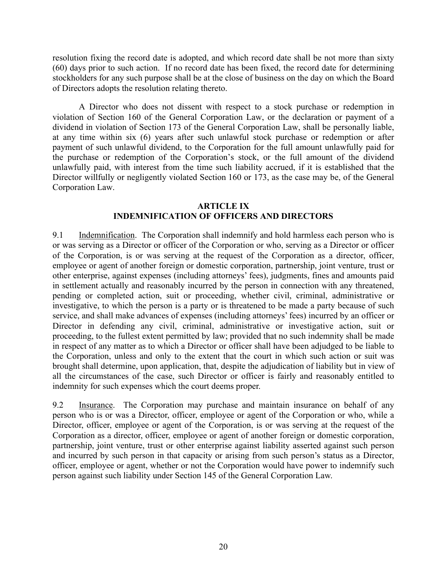resolution fixing the record date is adopted, and which record date shall be not more than sixty (60) days prior to such action. If no record date has been fixed, the record date for determining stockholders for any such purpose shall be at the close of business on the day on which the Board of Directors adopts the resolution relating thereto.

A Director who does not dissent with respect to a stock purchase or redemption in violation of Section 160 of the General Corporation Law, or the declaration or payment of a dividend in violation of Section 173 of the General Corporation Law, shall be personally liable, at any time within six (6) years after such unlawful stock purchase or redemption or after payment of such unlawful dividend, to the Corporation for the full amount unlawfully paid for the purchase or redemption of the Corporation's stock, or the full amount of the dividend unlawfully paid, with interest from the time such liability accrued, if it is established that the Director willfully or negligently violated Section 160 or 173, as the case may be, of the General Corporation Law.

# **ARTICLE IX INDEMNIFICATION OF OFFICERS AND DIRECTORS**

9.1 Indemnification. The Corporation shall indemnify and hold harmless each person who is or was serving as a Director or officer of the Corporation or who, serving as a Director or officer of the Corporation, is or was serving at the request of the Corporation as a director, officer, employee or agent of another foreign or domestic corporation, partnership, joint venture, trust or other enterprise, against expenses (including attorneys' fees), judgments, fines and amounts paid in settlement actually and reasonably incurred by the person in connection with any threatened, pending or completed action, suit or proceeding, whether civil, criminal, administrative or investigative, to which the person is a party or is threatened to be made a party because of such service, and shall make advances of expenses (including attorneys' fees) incurred by an officer or Director in defending any civil, criminal, administrative or investigative action, suit or proceeding, to the fullest extent permitted by law; provided that no such indemnity shall be made in respect of any matter as to which a Director or officer shall have been adjudged to be liable to the Corporation, unless and only to the extent that the court in which such action or suit was brought shall determine, upon application, that, despite the adjudication of liability but in view of all the circumstances of the case, such Director or officer is fairly and reasonably entitled to indemnity for such expenses which the court deems proper.

9.2 Insurance. The Corporation may purchase and maintain insurance on behalf of any person who is or was a Director, officer, employee or agent of the Corporation or who, while a Director, officer, employee or agent of the Corporation, is or was serving at the request of the Corporation as a director, officer, employee or agent of another foreign or domestic corporation, partnership, joint venture, trust or other enterprise against liability asserted against such person and incurred by such person in that capacity or arising from such person's status as a Director, officer, employee or agent, whether or not the Corporation would have power to indemnify such person against such liability under Section 145 of the General Corporation Law.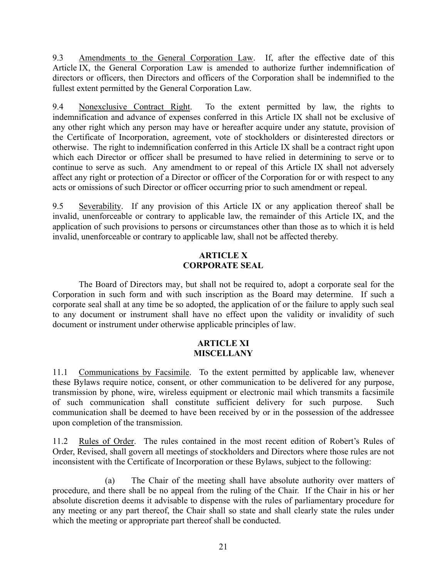9.3 Amendments to the General Corporation Law. If, after the effective date of this Article IX, the General Corporation Law is amended to authorize further indemnification of directors or officers, then Directors and officers of the Corporation shall be indemnified to the fullest extent permitted by the General Corporation Law.

9.4 Nonexclusive Contract Right. To the extent permitted by law, the rights to indemnification and advance of expenses conferred in this Article IX shall not be exclusive of any other right which any person may have or hereafter acquire under any statute, provision of the Certificate of Incorporation, agreement, vote of stockholders or disinterested directors or otherwise. The right to indemnification conferred in this Article IX shall be a contract right upon which each Director or officer shall be presumed to have relied in determining to serve or to continue to serve as such. Any amendment to or repeal of this Article IX shall not adversely affect any right or protection of a Director or officer of the Corporation for or with respect to any acts or omissions of such Director or officer occurring prior to such amendment or repeal.

9.5 Severability. If any provision of this Article IX or any application thereof shall be invalid, unenforceable or contrary to applicable law, the remainder of this Article IX, and the application of such provisions to persons or circumstances other than those as to which it is held invalid, unenforceable or contrary to applicable law, shall not be affected thereby.

# **ARTICLE X CORPORATE SEAL**

The Board of Directors may, but shall not be required to, adopt a corporate seal for the Corporation in such form and with such inscription as the Board may determine. If such a corporate seal shall at any time be so adopted, the application of or the failure to apply such seal to any document or instrument shall have no effect upon the validity or invalidity of such document or instrument under otherwise applicable principles of law.

# **ARTICLE XI MISCELLANY**

11.1 Communications by Facsimile. To the extent permitted by applicable law, whenever these Bylaws require notice, consent, or other communication to be delivered for any purpose, transmission by phone, wire, wireless equipment or electronic mail which transmits a facsimile of such communication shall constitute sufficient delivery for such purpose. Such communication shall be deemed to have been received by or in the possession of the addressee upon completion of the transmission.

11.2 Rules of Order. The rules contained in the most recent edition of Robert's Rules of Order, Revised, shall govern all meetings of stockholders and Directors where those rules are not inconsistent with the Certificate of Incorporation or these Bylaws, subject to the following:

(a) The Chair of the meeting shall have absolute authority over matters of procedure, and there shall be no appeal from the ruling of the Chair. If the Chair in his or her absolute discretion deems it advisable to dispense with the rules of parliamentary procedure for any meeting or any part thereof, the Chair shall so state and shall clearly state the rules under which the meeting or appropriate part thereof shall be conducted.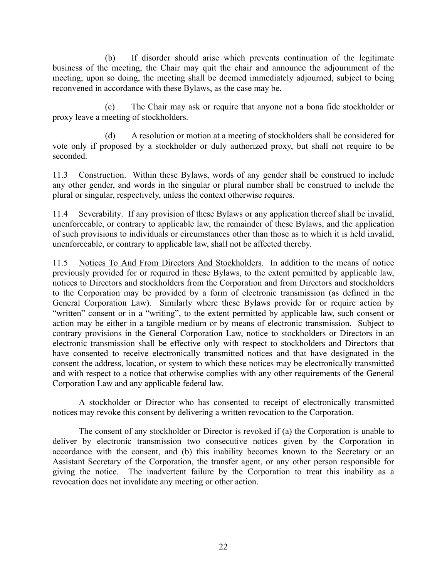(b) If disorder should arise which prevents continuation of the legitimate business of the meeting, the Chair may quit the chair and announce the adjournment of the meeting; upon so doing, the meeting shall be deemed immediately adjourned, subject to being reconvened in accordance with these Bylaws, as the case may be.

(c) The Chair may ask or require that anyone not a bona fide stockholder or proxy leave a meeting of stockholders.

(d) A resolution or motion at a meeting of stockholders shall be considered for vote only if proposed by a stockholder or duly authorized proxy, but shall not require to be seconded.

11.3 Construction. Within these Bylaws, words of any gender shall be construed to include any other gender, and words in the singular or plural number shall be construed to include the plural or singular, respectively, unless the context otherwise requires.

11.4 Severability. If any provision of these Bylaws or any application thereof shall be invalid, unenforceable, or contrary to applicable law, the remainder of these Bylaws, and the application of such provisions to individuals or circumstances other than those as to which it is held invalid, unenforceable, or contrary to applicable law, shall not be affected thereby.

11.5 Notices To And From Directors And Stockholders. In addition to the means of notice previously provided for or required in these Bylaws, to the extent permitted by applicable law, notices to Directors and stockholders from the Corporation and from Directors and stockholders to the Corporation may be provided by a form of electronic transmission (as defined in the General Corporation Law). Similarly where these Bylaws provide for or require action by "written" consent or in a "writing", to the extent permitted by applicable law, such consent or action may be either in a tangible medium or by means of electronic transmission. Subject to contrary provisions in the General Corporation Law, notice to stockholders or Directors in an electronic transmission shall be effective only with respect to stockholders and Directors that have consented to receive electronically transmitted notices and that have designated in the consent the address, location, or system to which these notices may be electronically transmitted and with respect to a notice that otherwise complies with any other requirements of the General Corporation Law and any applicable federal law.

A stockholder or Director who has consented to receipt of electronically transmitted notices may revoke this consent by delivering a written revocation to the Corporation.

The consent of any stockholder or Director is revoked if (a) the Corporation is unable to deliver by electronic transmission two consecutive notices given by the Corporation in accordance with the consent, and (b) this inability becomes known to the Secretary or an Assistant Secretary of the Corporation, the transfer agent, or any other person responsible for giving the notice. The inadvertent failure by the Corporation to treat this inability as a revocation does not invalidate any meeting or other action.